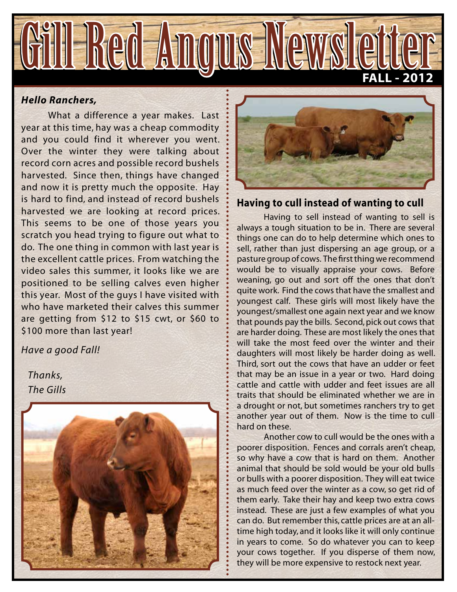

### *Hello Ranchers,*

What a difference a year makes. Last year at this time, hay was a cheap commodity and you could find it wherever you went. Over the winter they were talking about record corn acres and possible record bushels harvested. Since then, things have changed and now it is pretty much the opposite. Hay is hard to find, and instead of record bushels harvested we are looking at record prices. This seems to be one of those years you scratch you head trying to figure out what to do. The one thing in common with last year is the excellent cattle prices. From watching the video sales this summer, it looks like we are positioned to be selling calves even higher this year. Most of the guys I have visited with who have marketed their calves this summer are getting from \$12 to \$15 cwt, or \$60 to \$100 more than last year!

*Have a good Fall!*

 *Thanks, The Gills*





### **Having to cull instead of wanting to cull**

Having to sell instead of wanting to sell is always a tough situation to be in. There are several things one can do to help determine which ones to sell, rather than just dispersing an age group, or a pasture group of cows. The first thing we recommend would be to visually appraise your cows. Before weaning, go out and sort off the ones that don't quite work. Find the cows that have the smallest and youngest calf. These girls will most likely have the youngest/smallest one again next year and we know that pounds pay the bills. Second, pick out cows that are harder doing. These are most likely the ones that will take the most feed over the winter and their daughters will most likely be harder doing as well. Third, sort out the cows that have an udder or feet that may be an issue in a year or two. Hard doing cattle and cattle with udder and feet issues are all traits that should be eliminated whether we are in a drought or not, but sometimes ranchers try to get another year out of them. Now is the time to cull hard on these.

 Another cow to cull would be the ones with a poorer disposition. Fences and corrals aren't cheap, so why have a cow that is hard on them. Another animal that should be sold would be your old bulls or bulls with a poorer disposition. They will eat twice as much feed over the winter as a cow, so get rid of them early. Take their hay and keep two extra cows instead. These are just a few examples of what you can do. But remember this, cattle prices are at an alltime high today, and it looks like it will only continue in years to come. So do whatever you can to keep your cows together. If you disperse of them now, they will be more expensive to restock next year.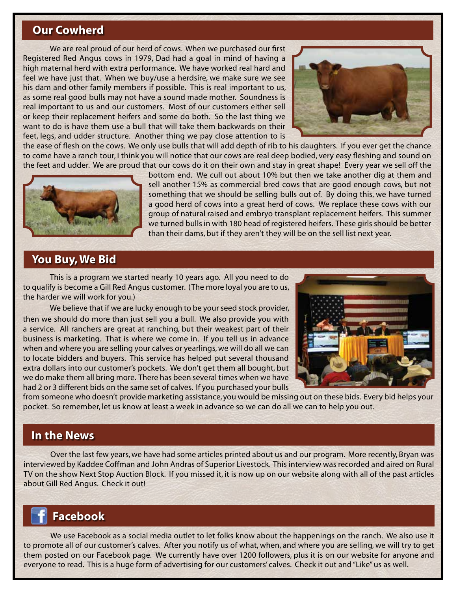# **Our Cowherd**

We are real proud of our herd of cows. When we purchased our first Registered Red Angus cows in 1979, Dad had a goal in mind of having a high maternal herd with extra performance. We have worked real hard and feel we have just that. When we buy/use a herdsire, we make sure we see his dam and other family members if possible. This is real important to us, as some real good bulls may not have a sound made mother. Soundness is real important to us and our customers. Most of our customers either sell or keep their replacement heifers and some do both. So the last thing we want to do is have them use a bull that will take them backwards on their feet, legs, and udder structure. Another thing we pay close attention to is



the ease of flesh on the cows. We only use bulls that will add depth of rib to his daughters. If you ever get the chance to come have a ranch tour, I think you will notice that our cows are real deep bodied, very easy fleshing and sound on the feet and udder. We are proud that our cows do it on their own and stay in great shape! Every year we sell off the



bottom end. We cull out about 10% but then we take another dig at them and sell another 15% as commercial bred cows that are good enough cows, but not something that we should be selling bulls out of. By doing this, we have turned a good herd of cows into a great herd of cows. We replace these cows with our group of natural raised and embryo transplant replacement heifers. This summer we turned bulls in with 180 head of registered heifers. These girls should be better than their dams, but if they aren't they will be on the sell list next year.

## **You Buy, We Bid**

This is a program we started nearly 10 years ago. All you need to do to qualify is become a Gill Red Angus customer. (The more loyal you are to us, the harder we will work for you.)

We believe that if we are lucky enough to be your seed stock provider, then we should do more than just sell you a bull. We also provide you with a service. All ranchers are great at ranching, but their weakest part of their business is marketing. That is where we come in. If you tell us in advance when and where you are selling your calves or yearlings, we will do all we can to locate bidders and buyers. This service has helped put several thousand extra dollars into our customer's pockets. We don't get them all bought, but we do make them all bring more. There has been several times when we have had 2 or 3 different bids on the same set of calves. If you purchased your bulls



from someone who doesn't provide marketing assistance, you would be missing out on these bids. Every bid helps your pocket. So remember, let us know at least a week in advance so we can do all we can to help you out.

## **In the News**

Over the last few years, we have had some articles printed about us and our program. More recently, Bryan was interviewed by Kaddee Coffman and John Andras of Superior Livestock. This interview was recorded and aired on Rural TV on the show Next Stop Auction Block. If you missed it, it is now up on our website along with all of the past articles about Gill Red Angus. Check it out!

# **Facebook**

We use Facebook as a social media outlet to let folks know about the happenings on the ranch. We also use it to promote all of our customer's calves. After you notify us of what, when, and where you are selling, we will try to get them posted on our Facebook page. We currently have over 1200 followers, plus it is on our website for anyone and everyone to read. This is a huge form of advertising for our customers' calves. Check it out and "Like" us as well.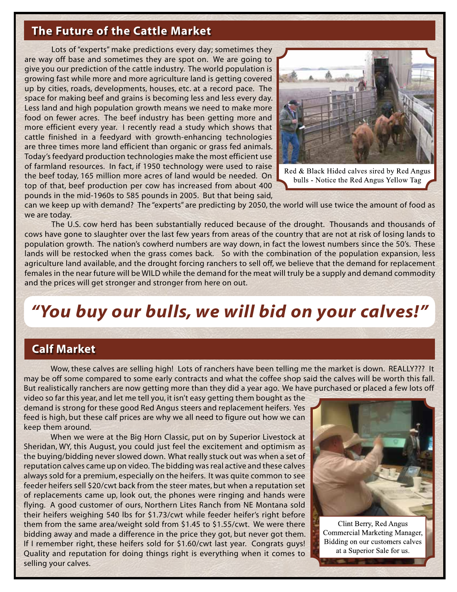# **The Future of the Cattle Market**

Lots of "experts" make predictions every day; sometimes they are way off base and sometimes they are spot on. We are going to give you our prediction of the cattle industry. The world population is growing fast while more and more agriculture land is getting covered up by cities, roads, developments, houses, etc. at a record pace. The space for making beef and grains is becoming less and less every day. Less land and high population growth means we need to make more food on fewer acres. The beef industry has been getting more and more efficient every year. I recently read a study which shows that cattle finished in a feedyard with growth-enhancing technologies are three times more land efficient than organic or grass fed animals. Today's feedyard production technologies make the most efficient use of farmland resources. In fact, if 1950 technology were used to raise the beef today, 165 million more acres of land would be needed. On top of that, beef production per cow has increased from about 400 pounds in the mid-1960s to 585 pounds in 2005. But that being said,



Red & Black Hided calves sired by Red Angus bulls - Notice the Red Angus Yellow Tag

can we keep up with demand? The "experts" are predicting by 2050, the world will use twice the amount of food as we are today.

The U.S. cow herd has been substantially reduced because of the drought. Thousands and thousands of cows have gone to slaughter over the last few years from areas of the country that are not at risk of losing lands to population growth. The nation's cowherd numbers are way down, in fact the lowest numbers since the 50's. These lands will be restocked when the grass comes back. So with the combination of the population expansion, less agriculture land available, and the drought forcing ranchers to sell off, we believe that the demand for replacement females in the near future will be WILD while the demand for the meat will truly be a supply and demand commodity and the prices will get stronger and stronger from here on out.

# *"You buy our bulls, we will bid on your calves!"*

# **Calf Market**

Wow, these calves are selling high! Lots of ranchers have been telling me the market is down. REALLY??? It may be off some compared to some early contracts and what the coffee shop said the calves will be worth this fall. But realistically ranchers are now getting more than they did a year ago. We have purchased or placed a few lots off

video so far this year, and let me tell you, it isn't easy getting them bought as the demand is strong for these good Red Angus steers and replacement heifers. Yes feed is high, but these calf prices are why we all need to figure out how we can keep them around.

When we were at the Big Horn Classic, put on by Superior Livestock at Sheridan, WY, this August, you could just feel the excitement and optimism as the buying/bidding never slowed down. What really stuck out was when a set of reputation calves came up on video. The bidding was real active and these calves always sold for a premium, especially on the heifers. It was quite common to see feeder heifers sell \$20/cwt back from the steer mates, but when a reputation set of replacements came up, look out, the phones were ringing and hands were flying. A good customer of ours, Northern Lites Ranch from NE Montana sold their heifers weighing 540 lbs for \$1.73/cwt while feeder heifer's right before them from the same area/weight sold from \$1.45 to \$1.55/cwt. We were there bidding away and made a difference in the price they got, but never got them. If I remember right, these heifers sold for \$1.60/cwt last year. Congrats guys! Quality and reputation for doing things right is everything when it comes to selling your calves.



Clint Berry, Red Angus Commercial Marketing Manager, Bidding on our customers calves at a Superior Sale for us.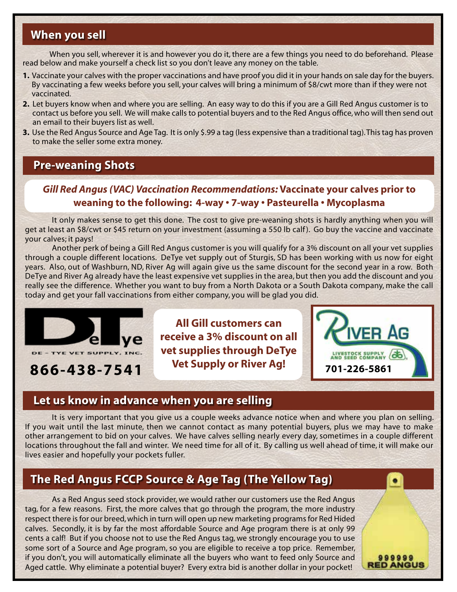# **When you sell**

When you sell, wherever it is and however you do it, there are a few things you need to do beforehand. Please read below and make yourself a check list so you don't leave any money on the table.

- **1.** Vaccinate your calves with the proper vaccinations and have proof you did it in your hands on sale day for the buyers. By vaccinating a few weeks before you sell, your calves will bring a minimum of \$8/cwt more than if they were not vaccinated.
- **2.** Let buyers know when and where you are selling. An easy way to do this if you are a Gill Red Angus customer is to contact us before you sell. We will make calls to potential buyers and to the Red Angus office, who will then send out an email to their buyers list as well.
- **3.** Use the Red Angus Source and Age Tag. It is only \$.99 a tag (less expensive than a traditional tag). This tag has proven to make the seller some extra money.

## **Pre-weaning Shots**

# *Gill Red Angus (VAC) Vaccination Recommendations:* **Vaccinate your calves prior to weaning to the following: 4-way • 7-way • Pasteurella • Mycoplasma**

It only makes sense to get this done. The cost to give pre-weaning shots is hardly anything when you will get at least an \$8/cwt or \$45 return on your investment (assuming a 550 lb calf ). Go buy the vaccine and vaccinate your calves; it pays!

Another perk of being a Gill Red Angus customer is you will qualify for a 3% discount on all your vet supplies through a couple different locations. DeTye vet supply out of Sturgis, SD has been working with us now for eight years. Also, out of Washburn, ND, River Ag will again give us the same discount for the second year in a row. Both DeTye and River Ag already have the least expensive vet supplies in the area, but then you add the discount and you really see the difference. Whether you want to buy from a North Dakota or a South Dakota company, make the call today and get your fall vaccinations from either company, you will be glad you did.



**866-438-7541 701-226-5861**

**All Gill customers can receive a 3% discount on all vet supplies through DeTye Vet Supply or River Ag!**



999999 **RED ANGUS** 

## **Let us know in advance when you are selling**

It is very important that you give us a couple weeks advance notice when and where you plan on selling. If you wait until the last minute, then we cannot contact as many potential buyers, plus we may have to make other arrangement to bid on your calves. We have calves selling nearly every day, sometimes in a couple different locations throughout the fall and winter. We need time for all of it. By calling us well ahead of time, it will make our lives easier and hopefully your pockets fuller.

# **The Red Angus FCCP Source & Age Tag (The Yellow Tag)**

As a Red Angus seed stock provider, we would rather our customers use the Red Angus tag, for a few reasons. First, the more calves that go through the program, the more industry respect there is for our breed, which in turn will open up new marketing programs for Red Hided calves. Secondly, it is by far the most affordable Source and Age program there is at only 99 cents a calf! But if you choose not to use the Red Angus tag, we strongly encourage you to use some sort of a Source and Age program, so you are eligible to receive a top price. Remember, if you don't, you will automatically eliminate all the buyers who want to feed only Source and Aged cattle. Why eliminate a potential buyer? Every extra bid is another dollar in your pocket!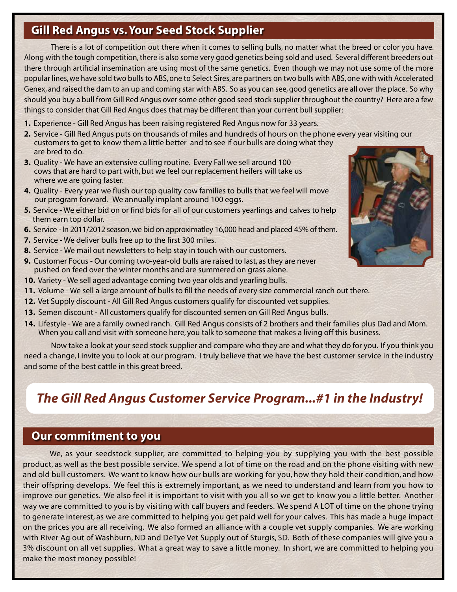# **Gill Red Angus vs. Your Seed Stock Supplier**

There is a lot of competition out there when it comes to selling bulls, no matter what the breed or color you have. Along with the tough competition, there is also some very good genetics being sold and used. Several different breeders out there through artificial insemination are using most of the same genetics. Even though we may not use some of the more popular lines, we have sold two bulls to ABS, one to Select Sires, are partners on two bulls with ABS, one with with Accelerated Genex, and raised the dam to an up and coming star with ABS. So as you can see, good genetics are all over the place. So why should you buy a bull from Gill Red Angus over some other good seed stock supplier throughout the country? Here are a few things to consider that Gill Red Angus does that may be different than your current bull supplier:

- **1.** Experience Gill Red Angus has been raising registered Red Angus now for 33 years.
- **2.** Service Gill Red Angus puts on thousands of miles and hundreds of hours on the phone every year visiting our customers to get to know them a little better and to see if our bulls are doing what they are bred to do.
- **3.** Quality We have an extensive culling routine. Every Fall we sell around 100 cows that are hard to part with, but we feel our replacement heifers will take us where we are going faster.
- **4.** Quality Every year we flush our top quality cow families to bulls that we feel will move our program forward. We annually implant around 100 eggs.
- **5.** Service We either bid on or find bids for all of our customers yearlings and calves to help them earn top dollar.
- **6.** Service In 2011/2012 season, we bid on approximatley 16,000 head and placed 45% of them.
- **7.** Service We deliver bulls free up to the first 300 miles.
- **8.** Service We mail out newsletters to help stay in touch with our customers.
- **9.** Customer Focus Our coming two-year-old bulls are raised to last, as they are never pushed on feed over the winter months and are summered on grass alone.
- **10.** Variety We sell aged advantage coming two year olds and yearling bulls.
- **11.** Volume We sell a large amount of bulls to fill the needs of every size commercial ranch out there.
- **12.** Vet Supply discount All Gill Red Angus customers qualify for discounted vet supplies.
- **13.** Semen discount All customers qualify for discounted semen on Gill Red Angus bulls.
- **14.** Lifestyle We are a family owned ranch. Gill Red Angus consists of 2 brothers and their families plus Dad and Mom. When you call and visit with someone here, you talk to someone that makes a living off this business.

Now take a look at your seed stock supplier and compare who they are and what they do for you. If you think you need a change, I invite you to look at our program. I truly believe that we have the best customer service in the industry and some of the best cattle in this great breed.

# *The Gill Red Angus Customer Service Program...#1 in the Industry!*

## **Our commitment to you**

We, as your seedstock supplier, are committed to helping you by supplying you with the best possible product, as well as the best possible service. We spend a lot of time on the road and on the phone visiting with new and old bull customers. We want to know how our bulls are working for you, how they hold their condition, and how their offspring develops. We feel this is extremely important, as we need to understand and learn from you how to improve our genetics. We also feel it is important to visit with you all so we get to know you a little better. Another way we are committed to you is by visiting with calf buyers and feeders. We spend A LOT of time on the phone trying to generate interest, as we are committed to helping you get paid well for your calves. This has made a huge impact on the prices you are all receiving. We also formed an alliance with a couple vet supply companies. We are working with River Ag out of Washburn, ND and DeTye Vet Supply out of Sturgis, SD. Both of these companies will give you a 3% discount on all vet supplies. What a great way to save a little money. In short, we are committed to helping you make the most money possible!

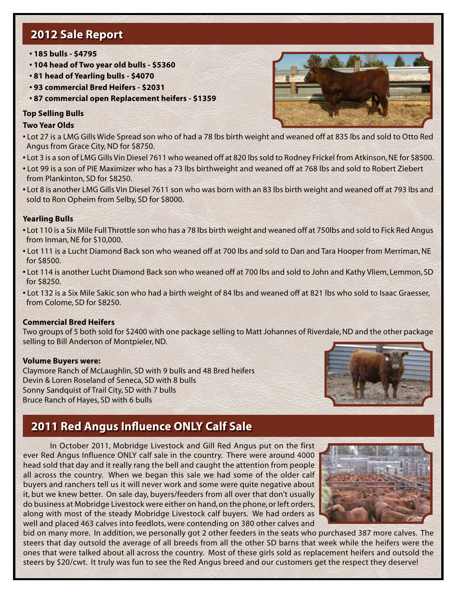# **2012 Sale Report**

- **185 bulls \$4795**
- **104 head of Two year old bulls \$5360**
- **81 head of Yearling bulls \$4070**
- **93 commercial Bred Heifers \$2031**
- **87 commercial open Replacement heifers \$1359**

### **Top Selling Bulls**

#### **Two Year Olds**

- Lot 27 is a LMG Gills Wide Spread son who of had a 78 lbs birth weight and weaned off at 835 lbs and sold to Otto Red Angus from Grace City, ND for \$8750.
- Lot 3 is a son of LMG Gills Vin Diesel 7611 who weaned off at 820 lbs sold to Rodney Frickel from Atkinson, NE for \$8500.
- Lot 99 is a son of PIE Maximizer who has a 73 lbs birthweight and weaned off at 768 lbs and sold to Robert Ziebert from Plankinton, SD for \$8250.
- Lot 8 is another LMG Gills Vin Diesel 7611 son who was born with an 83 lbs birth weight and weaned off at 793 lbs and sold to Ron Opheim from Selby, SD for \$8000.

### **Yearling Bulls**

- Lot 110 is a Six Mile Full Throttle son who has a 78 lbs birth weight and weaned off at 750lbs and sold to Fick Red Angus from Inman, NE for \$10,000.
- Lot 111 is a Lucht Diamond Back son who weaned off at 700 lbs and sold to Dan and Tara Hooper from Merriman, NE for \$8500.
- Lot 114 is another Lucht Diamond Back son who weaned off at 700 lbs and sold to John and Kathy Vliem, Lemmon, SD for \$8250.
- Lot 132 is a Six Mile Sakic son who had a birth weight of 84 lbs and weaned off at 821 lbs who sold to Isaac Graesser, from Colome, SD for \$8250.

#### **Commercial Bred Heifers**

Two groups of 5 both sold for \$2400 with one package selling to Matt Johannes of Riverdale, ND and the other package selling to Bill Anderson of Montpieler, ND.

#### **Volume Buyers were:**

Claymore Ranch of McLaughlin, SD with 9 bulls and 48 Bred heifers Devin & Loren Roseland of Seneca, SD with 8 bulls Sonny Sandquist of Trail City, SD with 7 bulls Bruce Ranch of Hayes, SD with 6 bulls



# **2011 Red Angus Influence ONLY Calf Sale**

In October 2011, Mobridge Livestock and Gill Red Angus put on the first ever Red Angus Influence ONLY calf sale in the country. There were around 4000 head sold that day and it really rang the bell and caught the attention from people all across the country. When we began this sale we had some of the older calf buyers and ranchers tell us it will never work and some were quite negative about it, but we knew better. On sale day, buyers/feeders from all over that don't usually do business at Mobridge Livestock were either on hand, on the phone, or left orders, along with most of the steady Mobridge Livestock calf buyers. We had orders as well and placed 463 calves into feedlots, were contending on 380 other calves and



bid on many more. In addition, we personally got 2 other feeders in the seats who purchased 387 more calves. The steers that day outsold the average of all breeds from all the other SD barns that week while the heifers were the ones that were talked about all across the country. Most of these girls sold as replacement heifers and outsold the steers by \$20/cwt. It truly was fun to see the Red Angus breed and our customers get the respect they deserve!

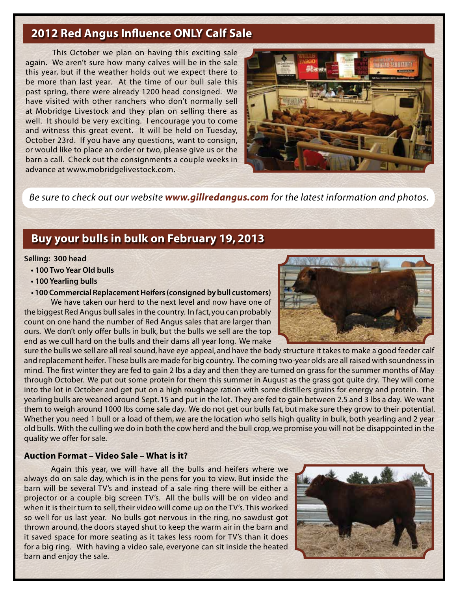# **2012 Red Angus Influence ONLY Calf Sale**

This October we plan on having this exciting sale again. We aren't sure how many calves will be in the sale this year, but if the weather holds out we expect there to be more than last year. At the time of our bull sale this past spring, there were already 1200 head consigned. We have visited with other ranchers who don't normally sell at Mobridge Livestock and they plan on selling there as well. It should be very exciting. I encourage you to come and witness this great event. It will be held on Tuesday, October 23rd. If you have any questions, want to consign, or would like to place an order or two, please give us or the barn a call. Check out the consignments a couple weeks in advance at www.mobridgelivestock.com.



*Be sure to check out our website www.gillredangus.com for the latest information and photos.*

# **Buy your bulls in bulk on February 19, 2013**

#### **Selling: 300 head**

- **100 Two Year Old bulls**
- **100 Yearling bulls**
- **100 Commercial Replacement Heifers (consigned by bull customers)**

We have taken our herd to the next level and now have one of the biggest Red Angus bull sales in the country. In fact, you can probably count on one hand the number of Red Angus sales that are larger than ours. We don't only offer bulls in bulk, but the bulls we sell are the top end as we cull hard on the bulls and their dams all year long. We make

sure the bulls we sell are all real sound, have eye appeal, and have the body structure it takes to make a good feeder calf and replacement heifer. These bulls are made for big country. The coming two-year olds are all raised with soundness in mind. The first winter they are fed to gain 2 lbs a day and then they are turned on grass for the summer months of May through October. We put out some protein for them this summer in August as the grass got quite dry. They will come into the lot in October and get put on a high roughage ration with some distillers grains for energy and protein. The yearling bulls are weaned around Sept. 15 and put in the lot. They are fed to gain between 2.5 and 3 lbs a day. We want them to weigh around 1000 lbs come sale day. We do not get our bulls fat, but make sure they grow to their potential. Whether you need 1 bull or a load of them, we are the location who sells high quality in bulk, both yearling and 2 year old bulls. With the culling we do in both the cow herd and the bull crop, we promise you will not be disappointed in the quality we offer for sale.

#### **Auction Format – Video Sale – What is it?**

Again this year, we will have all the bulls and heifers where we always do on sale day, which is in the pens for you to view. But inside the barn will be several TV's and instead of a sale ring there will be either a projector or a couple big screen TV's. All the bulls will be on video and when it is their turn to sell, their video will come up on the TV's. This worked so well for us last year. No bulls got nervous in the ring, no sawdust got thrown around, the doors stayed shut to keep the warm air in the barn and it saved space for more seating as it takes less room for TV's than it does for a big ring. With having a video sale, everyone can sit inside the heated barn and enjoy the sale.